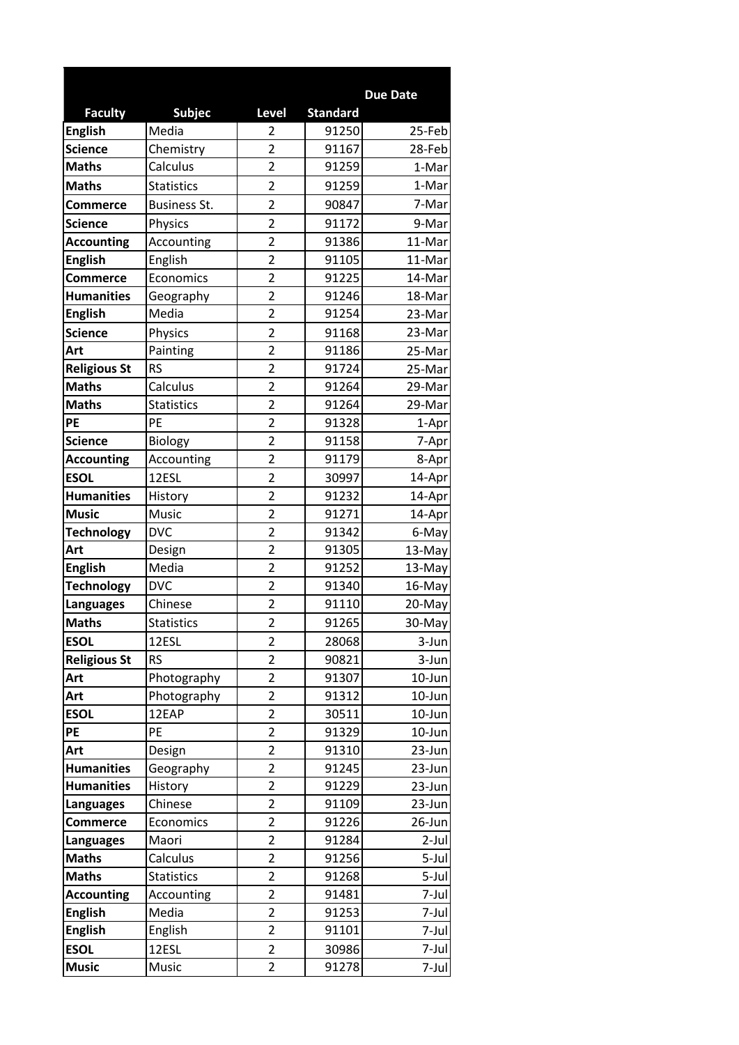|                     |                     |                         | <b>Due Date</b> |           |  |
|---------------------|---------------------|-------------------------|-----------------|-----------|--|
| <b>Faculty</b>      | <b>Subjec</b>       | Level                   | <b>Standard</b> |           |  |
| <b>English</b>      | Media               | 2                       | 91250           | 25-Feb    |  |
| <b>Science</b>      | Chemistry           | $\overline{2}$          | 91167           | 28-Feb    |  |
| <b>Maths</b>        | Calculus            | $\overline{2}$          | 91259           | 1-Mar     |  |
| <b>Maths</b>        | <b>Statistics</b>   | $\overline{2}$          | 91259           | 1-Mar     |  |
| <b>Commerce</b>     | <b>Business St.</b> | $\overline{2}$          | 90847           | 7-Mar     |  |
| <b>Science</b>      | Physics             | $\overline{2}$          | 91172           | 9-Mar     |  |
| <b>Accounting</b>   | Accounting          | $\overline{2}$          | 91386           | 11-Mar    |  |
| <b>English</b>      | English             | $\overline{2}$          | 91105           | 11-Mar    |  |
| <b>Commerce</b>     | Economics           | $\overline{2}$          | 91225           | 14-Mar    |  |
| <b>Humanities</b>   | Geography           | $\overline{2}$          | 91246           | 18-Mar    |  |
| <b>English</b>      | Media               | $\overline{2}$          | 91254           | 23-Mar    |  |
| <b>Science</b>      | Physics             | $\overline{2}$          | 91168           | 23-Mar    |  |
| Art                 | Painting            | $\overline{2}$          | 91186           | 25-Mar    |  |
| <b>Religious St</b> | <b>RS</b>           | $\overline{c}$          | 91724           | 25-Mar    |  |
| <b>Maths</b>        | Calculus            | $\overline{2}$          | 91264           | 29-Mar    |  |
| <b>Maths</b>        | <b>Statistics</b>   | $\overline{2}$          | 91264           | 29-Mar    |  |
| <b>PE</b>           | PE                  | $\overline{2}$          | 91328           | 1-Apr     |  |
| <b>Science</b>      | Biology             | $\overline{2}$          | 91158           | 7-Apr     |  |
| <b>Accounting</b>   | Accounting          | $\overline{2}$          | 91179           | 8-Apr     |  |
| <b>ESOL</b>         | 12ESL               | $\overline{2}$          | 30997           | 14-Apr    |  |
| <b>Humanities</b>   | History             | $\overline{2}$          | 91232           | 14-Apr    |  |
| <b>Music</b>        | Music               | $\overline{2}$          | 91271           | 14-Apr    |  |
| <b>Technology</b>   | <b>DVC</b>          | $\overline{2}$          | 91342           | 6-May     |  |
| Art                 | Design              | $\overline{2}$          | 91305           | 13-May    |  |
| <b>English</b>      | Media               | $\overline{2}$          | 91252           | 13-May    |  |
| <b>Technology</b>   | <b>DVC</b>          | $\overline{2}$          | 91340           | 16-May    |  |
| <b>Languages</b>    | Chinese             | $\overline{2}$          | 91110           | 20-May    |  |
| <b>Maths</b>        | Statistics          | $\overline{\mathbf{c}}$ | 91265           | 30-May    |  |
| <b>ESOL</b>         | 12ESL               | $\overline{2}$          | 28068           | 3-Jun     |  |
| <b>Religious St</b> | <b>RS</b>           | $\overline{2}$          | 90821           | 3-Jun     |  |
| Art                 | Photography         | $\overline{2}$          | 91307           | $10$ -Jun |  |
| Art                 | Photography         | $\overline{2}$          | 91312           | $10$ -Jun |  |
| <b>ESOL</b>         | 12EAP               | $\overline{2}$          | 30511           | $10$ -Jun |  |
| PE                  | PE                  | $\overline{c}$          | 91329           | $10$ -Jun |  |
| Art                 | Design              | $\overline{2}$          | 91310           | 23-Jun    |  |
| <b>Humanities</b>   | Geography           | $\overline{2}$          | 91245           | 23-Jun    |  |
| <b>Humanities</b>   | History             | $\overline{2}$          | 91229           | 23-Jun    |  |
| Languages           | Chinese             | $\overline{2}$          | 91109           | 23-Jun    |  |
| <b>Commerce</b>     | Economics           | $\overline{2}$          | 91226           | 26-Jun    |  |
| <b>Languages</b>    | Maori               | $\overline{2}$          | 91284           | 2-Jul     |  |
| <b>Maths</b>        | Calculus            | $\overline{\mathbf{c}}$ | 91256           | 5-Jul     |  |
| <b>Maths</b>        | <b>Statistics</b>   | $\overline{\mathbf{c}}$ | 91268           | 5-Jul     |  |
| <b>Accounting</b>   | Accounting          | $\overline{2}$          | 91481           | 7-Jul     |  |
| <b>English</b>      | Media               | $\overline{\mathbf{c}}$ | 91253           | 7-Jul     |  |
| <b>English</b>      | English             | $\overline{2}$          | 91101           | 7-Jul     |  |
| <b>ESOL</b>         | 12ESL               | $\overline{2}$          | 30986           | 7-Jul     |  |
| <b>Music</b>        | Music               | $\overline{2}$          | 91278           | 7-Jul     |  |